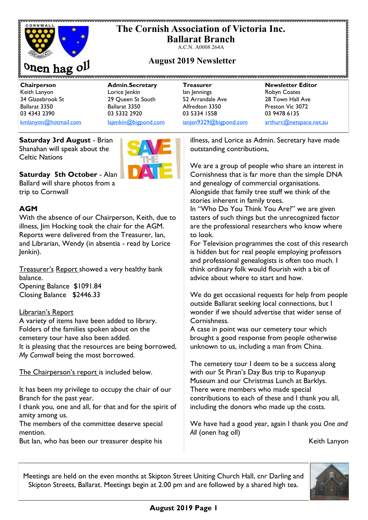

# **The Cornish Association of Victoria Inc. Ballarat Branch**

A.C.N. A0008 264A

# **August 2019 Newsletter**

**Chairperson Admin.Secretary Treasurer Newsletter Editor** Ballarat 3350 Ballarat 3350 Alfredton 3350 Preston Vic 3072 03 4343 2390 03 5332 2920 03 5334 1558 03 9478 6135 [kmlanyon@hotmail.com](mailto:kmlanyon@hotmail.com) [lajenkin@bigpond.com](mailto:lajenkin@bigpond.com) [ianjen9329@bigpond.com](mailto:ianjen9329@bigpond.com) [arthurc@netspace.net.au](mailto:arthurc@netspace.net.au)

Keith Lanyon Lorice Jenkin Ian Jennings Robyn Coates 34 Glazebrook St 29 Queen St South 52 Arrandale Ave 28 Town Hall Ave

**Saturday 3rd August** - Brian Shanahan will speak about the Celtic Nations



**Saturday 5th October** - Alan Ballard will share photos from a trip to Cornwall

## **AGM**

With the absence of our Chairperson, Keith, due to illness, Jim Hocking took the chair for the AGM. Reports were delivered from the Treasurer, Ian, and Librarian, Wendy (in absentia - read by Lorice Jenkin).

Treasurer's Report showed a very healthy bank balance. Opening Balance \$1091.84 Closing Balance \$2446.33

#### Librarian's Report

A variety of items have been added to library. Folders of the families spoken about on the cemetery tour have also been added. It is pleasing that the resources are being borrowed, *My Cornwall* being the most borrowed.

The Chairperson's report is included below.

It has been my privilege to occupy the chair of our Branch for the past year.

I thank you, one and all, for that and for the spirit of amity among us.

The members of the committee deserve special mention.

But Ian, who has been our treasurer despite his

illness, and Lorice as Admin. Secretary have made outstanding contributions,

We are a group of people who share an interest in Cornishness that is far more than the simple DNA and genealogy of commercial organisations. Alongside that family tree stuff we think of the stories inherent in family trees.

In "Who Do You Think You Are?" we are given tasters of such things but the unrecognized factor are the professional researchers who know where to look.

For Television programmes the cost of this research is hidden but for real people employing professors and professional genealogists is often too much. I think ordinary folk would flourish with a bit of advice about where to start and how.

We do get occasional requests for help from people outside Ballarat seeking local connections, but I wonder if we should advertise that wider sense of Cornishness.

A case in point was our cemetery tour which brought a good response from people otherwise unknown to us, including a man from China.

The cemetery tour I deem to be a success along with our St Piran's Day Bus trip to Rupanyup Museum and our Christmas Lunch at Barklys. There were members who made special contributions to each of these and I thank you all, including the donors who made up the costs.

We have had a good year, again I thank you *One and All* (onen hag oll)

Keith Lanyon

Meetings are held on the even months at Skipton Street Uniting Church Hall, cnr Darling and Skipton Streets, Ballarat. Meetings begin at 2.00 pm and are followed by a shared high tea.

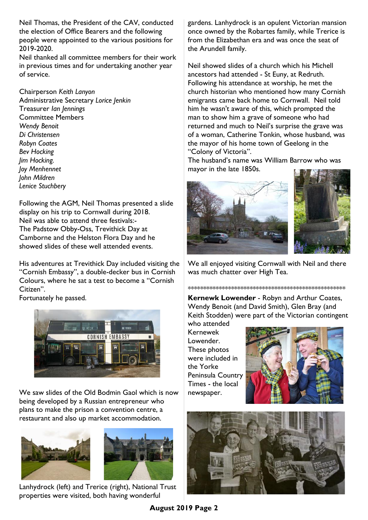Neil Thomas, the President of the CAV, conducted the election of Office Bearers and the following people were appointed to the various positions for 2019-2020.

Neil thanked all committee members for their work in previous times and for undertaking another year of service.

Chairperson *Keith Lanyon*  Administrative Secretary *Lorice Jenkin*  Treasurer *Ian Jennings* Committee Members *Wendy Benoit Di Christensen Robyn Coates Bev Hocking Jim Hocking. Joy Menhennet John Mildren Lenice Stuchbery* 

Following the AGM, Neil Thomas presented a slide display on his trip to Cornwall during 2018. Neil was able to attend three festivals:- The Padstow Obby-Oss, Trevithick Day at Camborne and the Helston Flora Day and he showed slides of these well attended events.

His adventures at Trevithick Day included visiting the "Cornish Embassy", a double-decker bus in Cornish Colours, where he sat a test to become a "Cornish Citizen".

Fortunately he passed.



We saw slides of the Old Bodmin Gaol which is now being developed by a Russian entrepreneur who plans to make the prison a convention centre, a restaurant and also up market accommodation.





Lanhydrock (left) and Trerice (right), National Trust properties were visited, both having wonderful

gardens. Lanhydrock is an opulent Victorian mansion once owned by the Robartes family, while Trerice is from the Elizabethan era and was once the seat of the Arundell family.

Neil showed slides of a church which his Michell ancestors had attended - St Euny, at Redruth. Following his attendance at worship, he met the church historian who mentioned how many Cornish emigrants came back home to Cornwall. Neil told him he wasn't aware of this, which prompted the man to show him a grave of someone who had returned and much to Neil's surprise the grave was of a woman, Catherine Tonkin, whose husband, was the mayor of his home town of Geelong in the "Colony of Victoria".

The husband's name was William Barrow who was mayor in the late 1850s.



We all enjoyed visiting Cornwall with Neil and there was much chatter over High Tea.

\*\*\*\*\*\*\*\*\*\*\*\*\*\*\*\*\*\*\*\*\*\*\*\*\*\*\*\*\*\*\*\*\*\*\*\*\*\*\*\*\*\*\*\*\*\*\*\*\*\*\* **Kernewk Lowender** - Robyn and Arthur Coates, Wendy Benoit (and David Smith), Glen Bray (and Keith Stodden) were part of the Victorian contingent

who attended Kernewek Lowender. These photos were included in the Yorke Peninsula Country Times - the local newspaper.



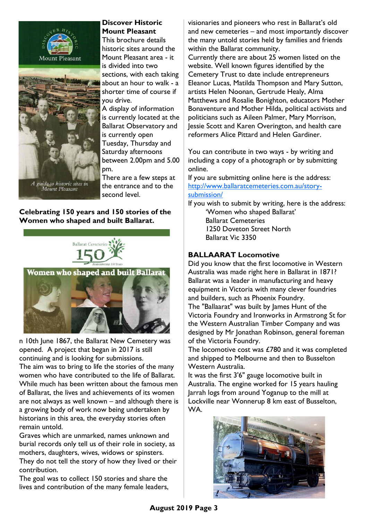



# **Discover Historic Mount Pleasant**

This brochure details historic sites around the Mount Pleasant area - it is divided into two sections, with each taking about an hour to walk - a shorter time of course if you drive.

A display of information is currently located at the Ballarat Observatory and is currently open Tuesday, Thursday and Saturday afternoons between 2.00pm and 5.00 pm.

There are a few steps at the entrance and to the second level.

**Celebrating 150 years and 150 stories of the Women who shaped and built Ballarat.**





n 10th June 1867, the Ballarat New Cemetery was opened. A project that began in 2017 is still continuing and is looking for submissions. The aim was to bring to life the stories of the many women who have contributed to the life of Ballarat. While much has been written about the famous men of Ballarat, the lives and achievements of its women are not always as well known – and although there is a growing body of work now being undertaken by historians in this area, the everyday stories often remain untold.

Graves which are unmarked, names unknown and burial records only tell us of their role in society, as mothers, daughters, wives, widows or spinsters. They do not tell the story of how they lived or their contribution.

The goal was to collect 150 stories and share the lives and contribution of the many female leaders, visionaries and pioneers who rest in Ballarat's old and new cemeteries – and most importantly discover the many untold stories held by families and friends within the Ballarat community.

Currently there are about 25 women listed on the website. Well known figures identified by the Cemetery Trust to date include entrepreneurs Eleanor Lucas, Matilda Thompson and Mary Sutton, artists Helen Noonan, Gertrude Healy, Alma Matthews and Rosalie Bonighton, educators Mother Bonaventure and Mother Hilda, political activists and politicians such as Aileen Palmer, Mary Morrison, Jessie Scott and Karen Overington, and health care reformers Alice Pittard and Helen Gardiner.

You can contribute in two ways - by writing and including a copy of a photograph or by submitting online.

If you are submitting online here is the address: [http://www.ballaratcemeteries.com.au/story](http://www.ballaratcemeteries.com.au/story-submission/)[submission/](http://www.ballaratcemeteries.com.au/story-submission/)

If you wish to submit by writing, here is the address: 'Women who shaped Ballarat' Ballarat Cemeteries 1250 Doveton Street North Ballarat Vic 3350

#### **BALLAARAT Locomotive**

Did you know that the first locomotive in Western Australia was made right here in Ballarat in 1871? Ballarat was a leader in manufacturing and heavy equipment in Victoria with many clever foundries and builders, such as Phoenix Foundry.

The "Ballaarat" was built by James Hunt of the Victoria Foundry and Ironworks in Armstrong St for the Western Australian Timber Company and was designed by Mr Jonathan Robinson, general foreman of the Victoria Foundry.

The locomotive cost was £780 and it was completed and shipped to Melbourne and then to Busselton Western Australia.

It was the first 3'6" gauge locomotive built in Australia. The engine worked for 15 years hauling Jarrah logs from around Yoganup to the mill at Lockville near Wonnerup 8 km east of Busselton, WA.

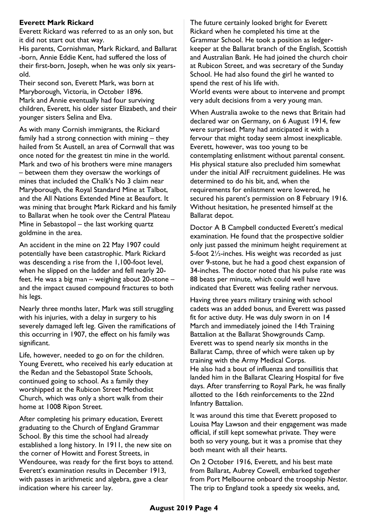# **Everett Mark Rickard**

Everett Rickard was referred to as an only son, but it did not start out that way.

His parents, Cornishman, Mark Rickard, and Ballarat -born, Annie Eddie Kent, had suffered the loss of their first-born, Joseph, when he was only six yearsold.

Their second son, Everett Mark, was born at Maryborough, Victoria, in October 1896. Mark and Annie eventually had four surviving children, Everett, his older sister Elizabeth, and their younger sisters Selina and Elva.

As with many Cornish immigrants, the Rickard family had a strong connection with mining – they hailed from St Austell, an area of Cornwall that was once noted for the greatest tin mine in the world. Mark and two of his brothers were mine managers – between them they oversaw the workings of mines that included the Chalk's No 3 claim near Maryborough, the Royal Standard Mine at Talbot, and the All Nations Extended Mine at Beaufort. It was mining that brought Mark Rickard and his family to Ballarat when he took over the Central Plateau Mine in Sebastopol – the last working quartz goldmine in the area.

An accident in the mine on 22 May 1907 could potentially have been catastrophic. Mark Rickard was descending a rise from the 1,100-foot level, when he slipped on the ladder and fell nearly 20 feet. He was a big man – weighing about 20-stone – and the impact caused compound fractures to both his legs.

Nearly three months later, Mark was still struggling with his injuries, with a delay in surgery to his severely damaged left leg. Given the ramifications of this occurring in 1907, the effect on his family was significant.

Life, however, needed to go on for the children. Young Everett, who received his early education at the Redan and the Sebastopol State Schools, continued going to school. As a family they worshipped at the Rubicon Street Methodist Church, which was only a short walk from their home at 1008 Ripon Street.

After completing his primary education, Everett graduating to the Church of England Grammar School. By this time the school had already established a long history. In 1911, the new site on the corner of Howitt and Forest Streets, in Wendouree, was ready for the first boys to attend. Everett's examination results in December 1913, with passes in arithmetic and algebra, gave a clear indication where his career lay.

The future certainly looked bright for Everett Rickard when he completed his time at the Grammar School. He took a position as ledgerkeeper at the Ballarat branch of the English, Scottish and Australian Bank. He had joined the church choir at Rubicon Street, and was secretary of the Sunday School. He had also found the girl he wanted to spend the rest of his life with.

World events were about to intervene and prompt very adult decisions from a very young man.

When Australia awoke to the news that Britain had declared war on Germany, on 6 August 1914, few were surprised. Many had anticipated it with a fervour that might today seem almost inexplicable. Everett, however, was too young to be contemplating enlistment without parental consent. His physical stature also precluded him somewhat under the initial AIF recruitment guidelines. He was determined to do his bit, and, when the requirements for enlistment were lowered, he secured his parent's permission on 8 February 1916. Without hesitation, he presented himself at the Ballarat depot.

Doctor A B Campbell conducted Everett's medical examination. He found that the prospective soldier only just passed the minimum height requirement at 5-foot 2½-inches. His weight was recorded as just over 9-stone, but he had a good chest expansion of 34-inches. The doctor noted that his pulse rate was 88 beats per minute, which could well have indicated that Everett was feeling rather nervous.

Having three years military training with school cadets was an added bonus, and Everett was passed fit for active duty. He was duly sworn in on 14 March and immediately joined the 14th Training Battalion at the Ballarat Showgrounds Camp. Everett was to spend nearly six months in the Ballarat Camp, three of which were taken up by training with the Army Medical Corps. He also had a bout of influenza and tonsillitis that landed him in the Ballarat Clearing Hospital for five days. After transferring to Royal Park, he was finally allotted to the 16th reinforcements to the 22nd Infantry Battalion.

It was around this time that Everett proposed to Louisa May Lawson and their engagement was made official, if still kept somewhat private. They were both so very young, but it was a promise that they both meant with all their hearts.

On 2 October 1916, Everett, and his best mate from Ballarat, Aubrey Cowell, embarked together from Port Melbourne onboard the troopship *Nestor.*  The trip to England took a speedy six weeks, and,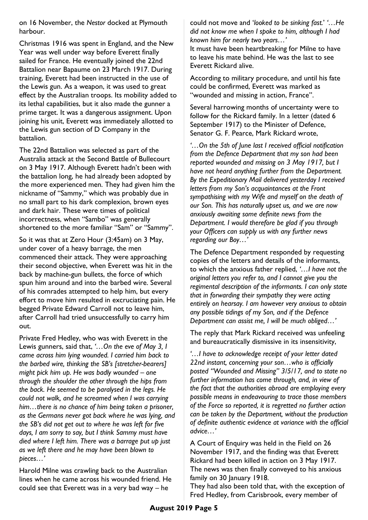on 16 November, the *Nestor* docked at Plymouth harbour.

Christmas 1916 was spent in England, and the New Year was well under way before Everett finally sailed for France. He eventually joined the 22nd Battalion near Bapaume on 23 March 1917. During training, Everett had been instructed in the use of the Lewis gun. As a weapon, it was used to great effect by the Australian troops. Its mobility added to its lethal capabilities, but it also made the gunner a prime target. It was a dangerous assignment. Upon joining his unit, Everett was immediately allotted to the Lewis gun section of D Company in the battalion.

The 22nd Battalion was selected as part of the Australia attack at the Second Battle of Bullecourt on 3 May 1917. Although Everett hadn't been with the battalion long, he had already been adopted by the more experienced men. They had given him the nickname of "Sammy," which was probably due in no small part to his dark complexion, brown eyes and dark hair. These were times of political incorrectness, when "Sambo" was generally shortened to the more familiar "Sam" or "Sammy".

So it was that at Zero Hour (3:45am) on 3 May, under cover of a heavy barrage, the men commenced their attack. They were approaching their second objective, when Everett was hit in the back by machine-gun bullets, the force of which spun him around and into the barbed wire. Several of his comrades attempted to help him, but every effort to move him resulted in excruciating pain. He begged Private Edward Carroll not to leave him, after Carroll had tried unsuccessfully to carry him out.

Private Fred Hedley, who was with Everett in the Lewis gunners, said that, *'…On the eve of May 3, I came across him lying wounded. I carried him back to the barbed wire, thinking the SB's [stretcher-bearers] might pick him up. He was badly wounded – one through the shoulder the other through the hips from the back. He seemed to be paralysed in the legs. He could not walk, and he screamed when I was carrying him…there is no chance of him being taken a prisoner, as the Germans never got back where he was lying, and the SB's did not get out to where he was left for five days, I am sorry to say, but I think Sammy must have died where I left him. There was a barrage put up just as we left there and he may have been blown to pieces…'*

Harold Milne was crawling back to the Australian lines when he came across his wounded friend. He could see that Everett was in a very bad way – he

could not move and '*looked to be sinking fast.*' *'…He did not know me when I spoke to him, although I had known him for nearly two years…'* 

It must have been heartbreaking for Milne to have to leave his mate behind. He was the last to see Everett Rickard alive.

According to military procedure, and until his fate could be confirmed, Everett was marked as "wounded and missing in action, France".

Several harrowing months of uncertainty were to follow for the Rickard family. In a letter (dated 6 September 1917) to the Minister of Defence, Senator G. F. Pearce, Mark Rickard wrote,

*'…On the 5th of June last I received official notification from the Defence Department that my son had been reported wounded and missing on 3 May 1917, but I have not heard anything further from the Department. By the Expeditionary Mail delivered yesterday I received letters from my Son's acquaintances at the Front sympathising with my Wife and myself on the death of our Son. This has naturally upset us, and we are now anxiously awaiting some definite news from the Department. I would therefore be glad if you through your Officers can supply us with any further news regarding our Boy…'*

The Defence Department responded by requesting copies of the letters and details of the informants, to which the anxious father replied, *'…I have not the original letters you refer to, and I cannot give you the regimental description of the informants. I can only state that in forwarding their sympathy they were acting entirely on hearsay. I am however very anxious to obtain any possible tidings of my Son, and if the Defence Department can assist me, I will be much obliged…'*

The reply that Mark Rickard received was unfeeling and bureaucratically dismissive in its insensitivity,

*'…I have to acknowledge receipt of your letter dated 22nd instant, concerning your son…who is officially posted "Wounded and Missing" 3/5/17, and to state no further information has come through, and, in view of the fact that the authorities abroad are employing every possible means in endeavouring to trace those members of the Force so reported, it is regretted no further action can be taken by the Department, without the production of definite authentic evidence at variance with the official advice…'*

A Court of Enquiry was held in the Field on 26 November 1917, and the finding was that Everett Rickard had been killed in action on 3 May 1917. The news was then finally conveyed to his anxious family on 30 January 1918.

They had also been told that, with the exception of Fred Hedley, from Carisbrook, every member of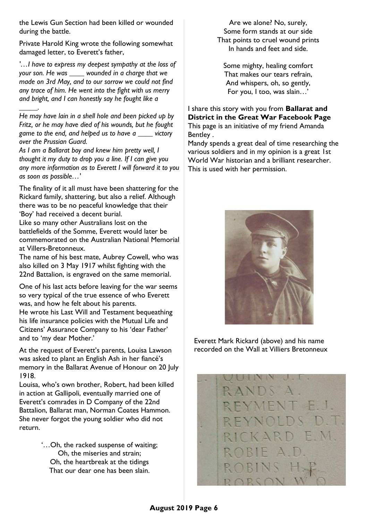the Lewis Gun Section had been killed or wounded during the battle.

Private Harold King wrote the following somewhat damaged letter, to Everett's father,

*'…I have to express my deepest sympathy at the loss of your son. He was \_\_\_\_ wounded in a charge that we made on 3rd May, and to our sorrow we could not find any trace of him. He went into the fight with us merry and bright, and I can honestly say he fought like a* 

*He may have lain in a shell hole and been picked up by Fritz, or he may have died of his wounds, but he fought game to the end, and helped us to have a \_\_\_\_ victory over the Prussian Guard.*

*\_\_\_\_\_.*

*As I am a Ballarat boy and knew him pretty well, I thought it my duty to drop you a line. If I can give you any more information as to Everett I will forward it to you as soon as possible…'*

The finality of it all must have been shattering for the Rickard family, shattering, but also a relief. Although there was to be no peaceful knowledge that their 'Boy' had received a decent burial.

Like so many other Australians lost on the battlefields of the Somme, Everett would later be commemorated on the Australian National Memorial at Villers-Bretonneux.

The name of his best mate, Aubrey Cowell, who was also killed on 3 May 1917 whilst fighting with the 22nd Battalion, is engraved on the same memorial.

One of his last acts before leaving for the war seems so very typical of the true essence of who Everett was, and how he felt about his parents.

He wrote his Last Will and Testament bequeathing his life insurance policies with the Mutual Life and Citizens' Assurance Company to his 'dear Father' and to 'my dear Mother.'

At the request of Everett's parents, Louisa Lawson was asked to plant an English Ash in her fiancé's memory in the Ballarat Avenue of Honour on 20 July 1918.

Louisa, who's own brother, Robert, had been killed in action at Gallipoli, eventually married one of Everett's comrades in D Company of the 22nd Battalion, Ballarat man, Norman Coates Hammon. She never forgot the young soldier who did not return.

> '…Oh, the racked suspense of waiting; Oh, the miseries and strain; Oh, the heartbreak at the tidings That our dear one has been slain.

Are we alone? No, surely, Some form stands at our side That points to cruel wound prints In hands and feet and side.

Some mighty, healing comfort That makes our tears refrain, And whispers, oh, so gently, For you, I too, was slain…'

I share this story with you from **Ballarat and District in the Great War Facebook Page** This page is an initiative of my friend Amanda Bentley .

Mandy spends a great deal of time researching the various soldiers and in my opinion is a great 1st World War historian and a brilliant researcher. This is used with her permission.



Everett Mark Rickard (above) and his name recorded on the Wall at Villiers Bretonneux

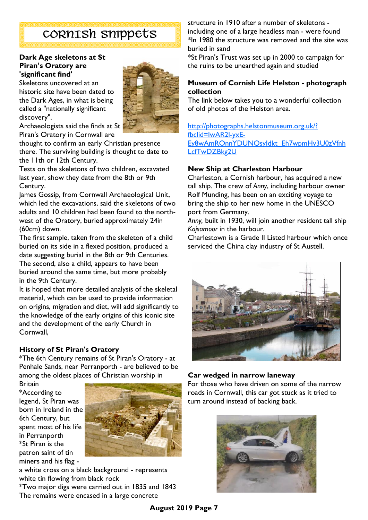# CORNISH snippets

#### **Dark Age skeletons at St Piran's Oratory are 'significant find'**

Skeletons uncovered at an historic site have been dated to the Dark Ages, in what is being called a "nationally significant discovery".



Archaeologists said the finds at St Piran's Oratory in Cornwall are

thought to confirm an early Christian presence there. The surviving building is thought to date to the 11th or 12th Century.

Tests on the skeletons of two children, excavated last year, show they date from the 8th or 9th Century.

James Gossip, from Cornwall Archaeological Unit, which led the excavations, said the skeletons of two adults and 10 children had been found to the northwest of the Oratory, buried approximately 24in (60cm) down.

The first sample, taken from the skeleton of a child buried on its side in a flexed position, produced a date suggesting burial in the 8th or 9th Centuries. The second, also a child, appears to have been buried around the same time, but more probably in the 9th Century.

It is hoped that more detailed analysis of the skeletal material, which can be used to provide information on origins, migration and diet, will add significantly to the knowledge of the early origins of this iconic site and the development of the early Church in Cornwall,

# **History of St Piran's Oratory**

\*The 6th Century remains of St Piran's Oratory - at Penhale Sands, near Perranporth - are believed to be among the oldest places of Christian worship in

Britain \*According to legend, St Piran was born in Ireland in the 6th Century, but spent most of his life in Perranporth \*St Piran is the patron saint of tin miners and his flag -



a white cross on a black background - represents white tin flowing from black rock

\*Two major digs were carried out in 1835 and 1843 The remains were encased in a large concrete

structure in 1910 after a number of skeletons including one of a large headless man - were found \*In 1980 the structure was removed and the site was buried in sand

\*St Piran's Trust was set up in 2000 to campaign for the ruins to be unearthed again and studied

## **Museum of Cornish Life Helston - photograph collection**

The link below takes you to a wonderful collection of old photos of the Helston area.

[http://photographs.helstonmuseum.org.uk/?](http://photographs.helstonmuseum.org.uk/?fbclid=IwAR2l-yxE-Ey8wAmROnnYDUNQsyIdkt_Eh7wpmHv3U0zVfnhLcfTwDZBkg2U) [fbclid=IwAR2l-yxE-](http://photographs.helstonmuseum.org.uk/?fbclid=IwAR2l-yxE-Ey8wAmROnnYDUNQsyIdkt_Eh7wpmHv3U0zVfnhLcfTwDZBkg2U)[Ey8wAmROnnYDUNQsyIdkt\\_Eh7wpmHv3U0zVfnh](http://photographs.helstonmuseum.org.uk/?fbclid=IwAR2l-yxE-Ey8wAmROnnYDUNQsyIdkt_Eh7wpmHv3U0zVfnhLcfTwDZBkg2U) [LcfTwDZBkg2U](http://photographs.helstonmuseum.org.uk/?fbclid=IwAR2l-yxE-Ey8wAmROnnYDUNQsyIdkt_Eh7wpmHv3U0zVfnhLcfTwDZBkg2U)

## **New Ship at Charleston Harbour**

Charleston, a Cornish harbour, has acquired a new tall ship. The crew of *Anny*, including harbour owner Rolf Munding, has been on an exciting voyage to bring the ship to her new home in the UNESCO port from Germany.

*Anny,* built in 1930, will join another resident tall ship *Kajsamoor* in the harbour.

Charlestown is a Grade II Listed harbour which once serviced the China clay industry of St Austell.



## **Car wedged in narrow laneway**

For those who have driven on some of the narrow roads in Cornwall, this car got stuck as it tried to turn around instead of backing back.